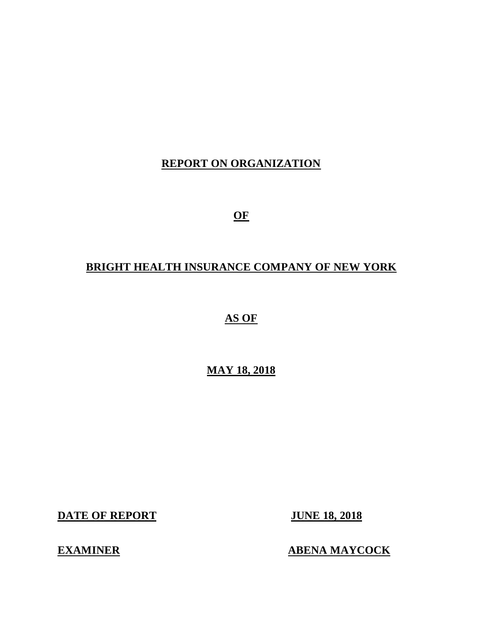# **REPORT ON ORGANIZATION**

**OF** 

# **BRIGHT HEALTH INSURANCE COMPANY OF NEW YORK**

 **AS OF** 

 **MAY 18, 2018** 

**DATE OF REPORT JUNE 18, 2018** 

**EXAMINER** 

**ABENA MAYCOCK**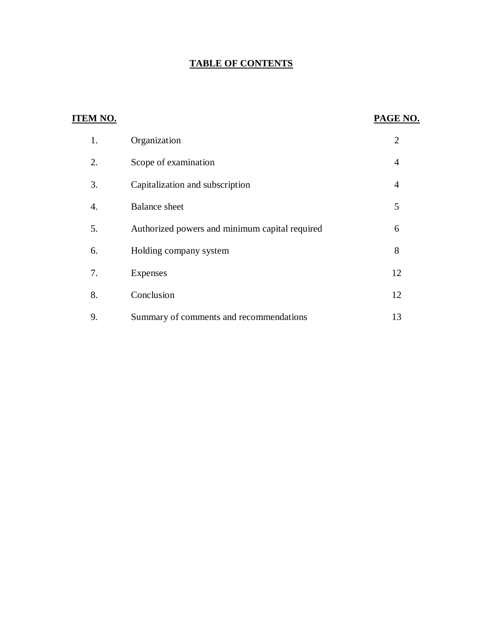#### **TABLE OF CONTENTS**

| <b>ITEM NO.</b> |                                                | PAGE NO.       |
|-----------------|------------------------------------------------|----------------|
| 1.              | Organization                                   | $\overline{2}$ |
| 2.              | Scope of examination                           | 4              |
| 3.              | Capitalization and subscription                | $\overline{4}$ |
| 4.              | <b>Balance</b> sheet                           | 5              |
| 5.              | Authorized powers and minimum capital required | 6              |
| 6.              | Holding company system                         | 8              |
| 7.              | <b>Expenses</b>                                | 12             |
| 8.              | Conclusion                                     | 12             |
| 9.              | Summary of comments and recommendations        | 13             |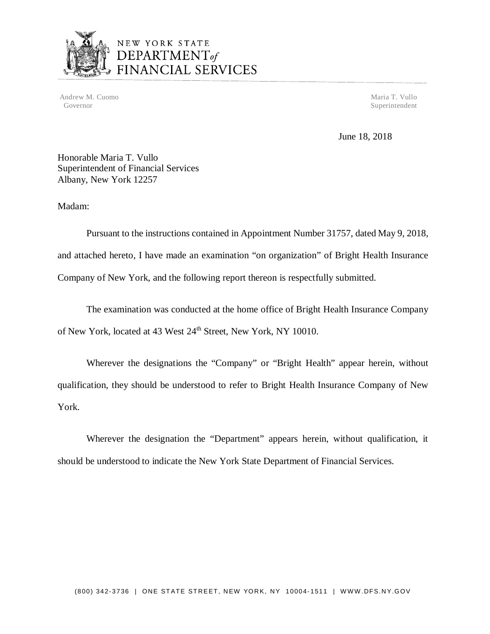

# NEW YORK STATE<br>DEPARTMENT<sub>of</sub><br>FINANCIAL SERVICES

Andrew M. Cuomo Maria T. Vullo National Andrew M. Cuomo Maria T. Vullo National Andrew M. Cuomo Maria T. Vullo Governor Superintendent Superintendent Superintendent Superintendent Superintendent Superintendent Superintendent Superintendent Superintendent Superintendent Superintendent Superintendent Superintendent Superintendent Sup

June 18, 2018

 Honorable Maria T. Vullo Superintendent of Financial Services Albany, New York 12257

Madam:

 Pursuant to the instructions contained in Appointment Number 31757, dated May 9, 2018, and attached hereto, I have made an examination "on organization" of Bright Health Insurance Company of New York, and the following report thereon is respectfully submitted.

of New York, located at 43 West 24<sup>th</sup> Street, New York, NY 10010. The examination was conducted at the home office of Bright Health Insurance Company

 Wherever the designations the "Company" or "Bright Health" appear herein, without qualification, they should be understood to refer to Bright Health Insurance Company of New York.

 Wherever the designation the "Department" appears herein, without qualification, it should be understood to indicate the New York State Department of Financial Services.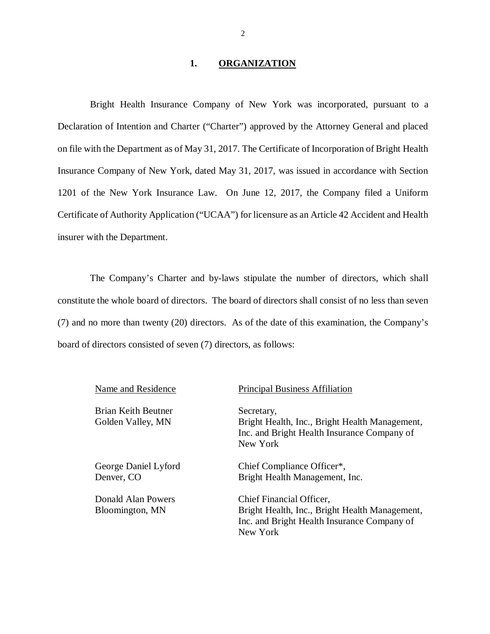#### **1. ORGANIZATION**

 Bright Health Insurance Company of New York was incorporated, pursuant to a Declaration of Intention and Charter ("Charter") approved by the Attorney General and placed on file with the Department as of May 31, 2017. The Certificate of Incorporation of Bright Health Insurance Company of New York, dated May 31, 2017, was issued in accordance with Section 1201 of the New York Insurance Law. On June 12, 2017, the Company filed a Uniform Certificate of Authority Application ("UCAA") for licensure as an Article 42 Accident and Health insurer with the Department.

 constitute the whole board of directors. The board of directors shall consist of no less than seven (7) and no more than twenty (20) directors. As of the date of this examination, the Company's board of directors consisted of seven (7) directors, as follows: The Company's Charter and by-laws stipulate the number of directors, which shall

| Name and Residence                              | <b>Principal Business Affiliation</b>                                                                                                 |
|-------------------------------------------------|---------------------------------------------------------------------------------------------------------------------------------------|
| <b>Brian Keith Beutner</b><br>Golden Valley, MN | Secretary,<br>Bright Health, Inc., Bright Health Management,<br>Inc. and Bright Health Insurance Company of<br>New York               |
| George Daniel Lyford<br>Denver, CO              | Chief Compliance Officer*,<br>Bright Health Management, Inc.                                                                          |
| Donald Alan Powers<br>Bloomington, MN           | Chief Financial Officer,<br>Bright Health, Inc., Bright Health Management,<br>Inc. and Bright Health Insurance Company of<br>New York |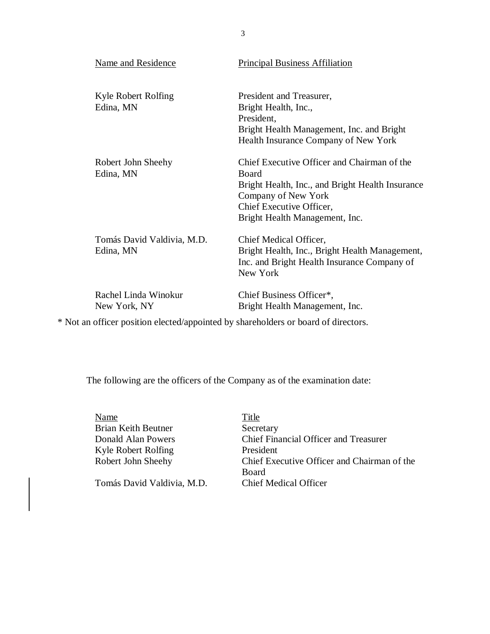| <b>Name and Residence</b>               | <b>Principal Business Affiliation</b>                                                                                                                                                         |  |
|-----------------------------------------|-----------------------------------------------------------------------------------------------------------------------------------------------------------------------------------------------|--|
| Kyle Robert Rolfing<br>Edina, MN        | President and Treasurer,<br>Bright Health, Inc.,<br>President,<br>Bright Health Management, Inc. and Bright<br>Health Insurance Company of New York                                           |  |
| Robert John Sheehy<br>Edina, MN         | Chief Executive Officer and Chairman of the<br>Board<br>Bright Health, Inc., and Bright Health Insurance<br>Company of New York<br>Chief Executive Officer,<br>Bright Health Management, Inc. |  |
| Tomás David Valdivia, M.D.<br>Edina, MN | Chief Medical Officer,<br>Bright Health, Inc., Bright Health Management,<br>Inc. and Bright Health Insurance Company of<br>New York                                                           |  |
| Rachel Linda Winokur<br>New York, NY    | Chief Business Officer*,<br>Bright Health Management, Inc.                                                                                                                                    |  |

\* Not an officer position elected/appointed by shareholders or board of directors.

The following are the officers of the Company as of the examination date:

| Name                       | Title                                       |
|----------------------------|---------------------------------------------|
| <b>Brian Keith Beutner</b> | Secretary                                   |
| Donald Alan Powers         | Chief Financial Officer and Treasurer       |
| Kyle Robert Rolfing        | President                                   |
| Robert John Sheehy         | Chief Executive Officer and Chairman of the |
|                            | <b>Board</b>                                |
| Tomás David Valdivia, M.D. | <b>Chief Medical Officer</b>                |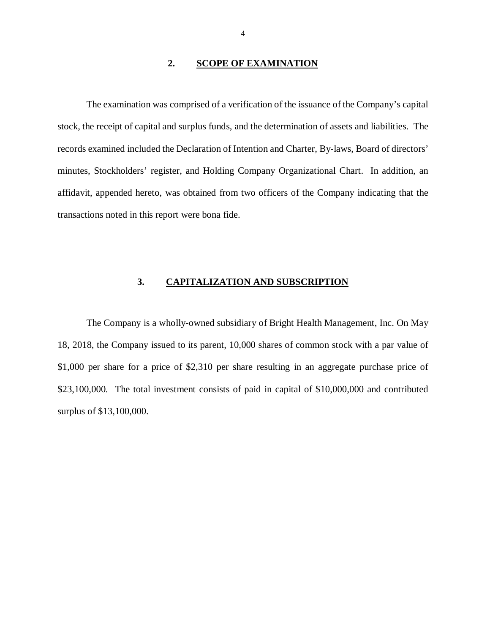#### **2. SCOPE OF EXAMINATION**

<span id="page-5-0"></span> stock, the receipt of capital and surplus funds, and the determination of assets and liabilities. The records examined included the Declaration of Intention and Charter, By-laws, Board of directors' minutes, Stockholders' register, and Holding Company Organizational Chart. In addition, an affidavit, appended hereto, was obtained from two officers of the Company indicating that the transactions noted in this report were bona fide. The examination was comprised of a verification of the issuance of the Company's capital

#### **3. CAPITALIZATION AND SUBSCRIPTION**

 18, 2018, the Company issued to its parent, 10,000 shares of common stock with a par value of \$1,000 per share for a price of \$2,310 per share resulting in an aggregate purchase price of \$23,100,000. The total investment consists of paid in capital of \$10,000,000 and contributed surplus of \$13,100,000. The Company is a wholly-owned subsidiary of Bright Health Management, Inc. On May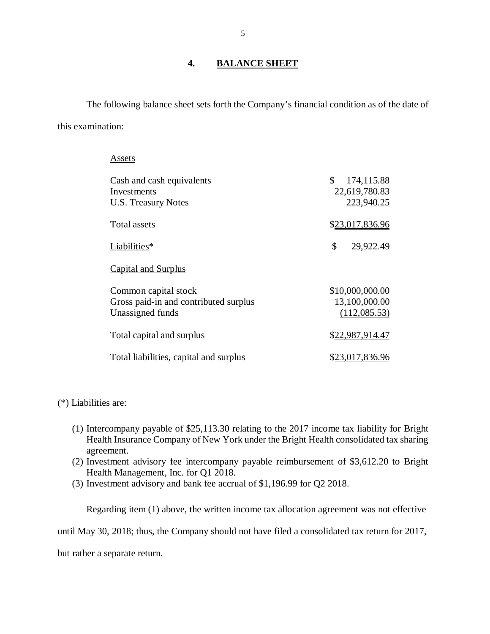#### **4. BALANCE SHEET**

<span id="page-6-0"></span> The following balance sheet sets forth the Company's financial condition as of the date of this examination:

> Cash and cash equivalents  $$ 174,115.88$  $$ 174,115.88$ U.S. Treasury Notes [223,940.25](https://223,940.25) **Total assets**  $\mathbb{S}$  Capital and Surplus Common capital stock [\\$10,000,000.00](https://10,000,000.00) Gross paid-in and contributed surplus [13,100,000.00](https://13,100,000.00) Total capital and surplus  $$22,987,914.47$ Total liabilities, capital and surplus [\\$23,017,836.96](https://23,017,836.96) **Assets** Investments [22,619,780.83](https://22,619,780.83) [\\$23,017,836.96](https://23,017,836.96) Liabilities\* \$ [29,922.49](https://29,922.49) Unassigned funds [\(112,085.53](https://112,085.53))

(\*) Liabilities are:

- (1) Intercompany payable of \$[25,113.30](https://25,113.30) relating to the 2017 income tax liability for Bright Health Insurance Company of New York under the Bright Health consolidated tax sharing agreement.
- (2) Investment advisory fee intercompany payable reimbursement of [\\$3,612.20](https://3,612.20) to Bright Health Management, Inc. for Q1 2018.
- (3) Investment advisory and bank fee accrual of \$[1,196.99](https://1,196.99) for Q2 2018.

Regarding item (1) above, the written income tax allocation agreement was not effective

until May 30, 2018; thus, the Company should not have filed a consolidated tax return for 2017,

but rather a separate return.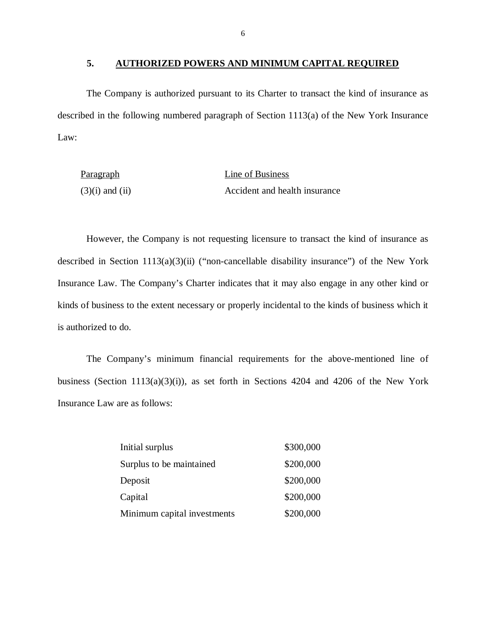#### **5. AUTHORIZED POWERS AND MINIMUM CAPITAL REQUIRED**

 The Company is authorized pursuant to its Charter to transact the kind of insurance as described in the following numbered paragraph of Section 1113(a) of the New York Insurance Law:

| Paragraph           | Line of Business              |
|---------------------|-------------------------------|
| $(3)(i)$ and $(ii)$ | Accident and health insurance |

 However, the Company is not requesting licensure to transact the kind of insurance as described in Section 1113(a)(3)(ii) ("non-cancellable disability insurance") of the New York Insurance Law. The Company's Charter indicates that it may also engage in any other kind or kinds of business to the extent necessary or properly incidental to the kinds of business which it is authorized to do.

 business (Section 1113(a)(3)(i)), as set forth in Sections 4204 and 4206 of the New York Insurance Law are as follows: The Company's minimum financial requirements for the above-mentioned line of

| Initial surplus             | \$300,000 |
|-----------------------------|-----------|
| Surplus to be maintained    | \$200,000 |
| Deposit                     | \$200,000 |
| Capital                     | \$200,000 |
| Minimum capital investments | \$200,000 |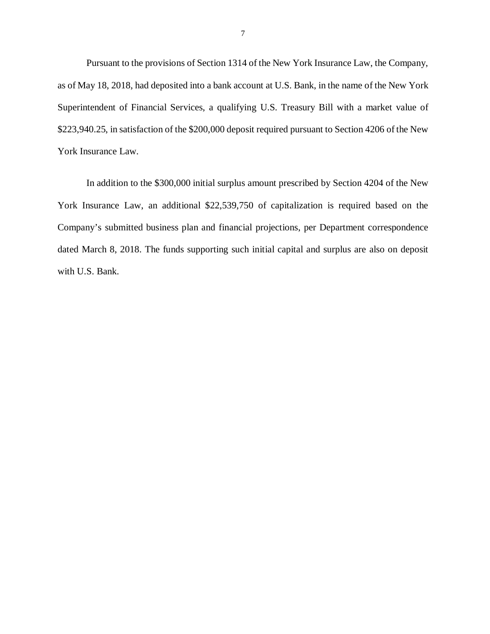Pursuant to the provisions of Section 1314 of the New York Insurance Law, the Company, as of May 18, 2018, had deposited into a bank account at U.S. Bank, in the name of the New York Superintendent of Financial Services, a qualifying U.S. Treasury Bill with a market value of \$[223,940.25,](https://223,940.25) in satisfaction of the \$200,000 deposit required pursuant to Section 4206 of the New York Insurance Law.

 In addition to the \$300,000 initial surplus amount prescribed by Section 4204 of the New York Insurance Law, an additional \$22,539,750 of capitalization is required based on the Company's submitted business plan and financial projections, per Department correspondence dated March 8, 2018. The funds supporting such initial capital and surplus are also on deposit with U.S. Bank.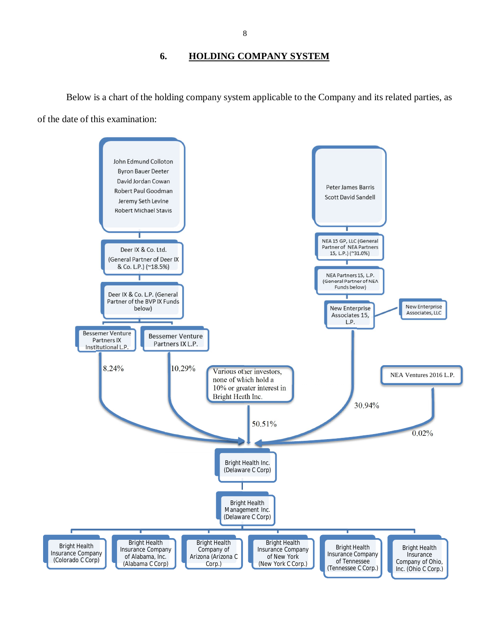#### **6. HOLDING COMPANY SYSTEM**

<span id="page-9-0"></span> Below is a chart of the holding company system applicable to the Company and its related parties, as of the date of this examination:

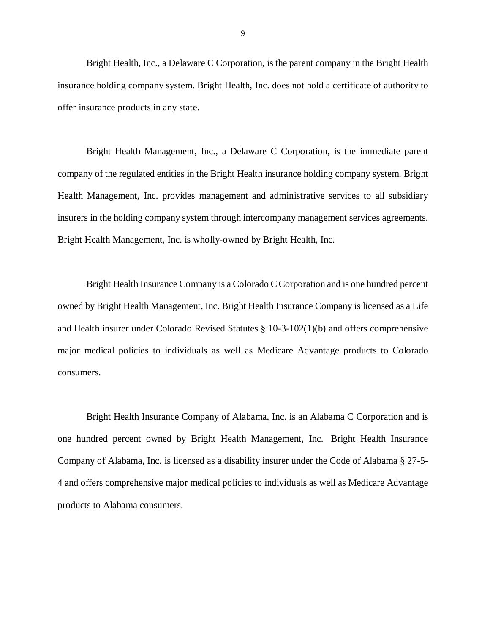Bright Health, Inc., a Delaware C Corporation, is the parent company in the Bright Health insurance holding company system. Bright Health, Inc. does not hold a certificate of authority to offer insurance products in any state.

 Bright Health Management, Inc., a Delaware C Corporation, is the immediate parent company of the regulated entities in the Bright Health insurance holding company system. Bright Health Management, Inc. provides management and administrative services to all subsidiary insurers in the holding company system through intercompany management services agreements. Bright Health Management, Inc. is wholly-owned by Bright Health, Inc.

 Bright Health Insurance Company is a Colorado C Corporation and is one hundred percent owned by Bright Health Management, Inc. Bright Health Insurance Company is licensed as a Life and Health insurer under Colorado Revised Statutes § 10-3-102(1)(b) and offers comprehensive major medical policies to individuals as well as Medicare Advantage products to Colorado consumers.

 consumers. Bright Health Insurance Company of Alabama, Inc. is an Alabama C Corporation and is one hundred percent owned by Bright Health Management, Inc. Bright Health Insurance Company of Alabama, Inc. is licensed as a disability insurer under the Code of Alabama § 27-5- 4 and offers comprehensive major medical policies to individuals as well as Medicare Advantage products to Alabama consumers.

9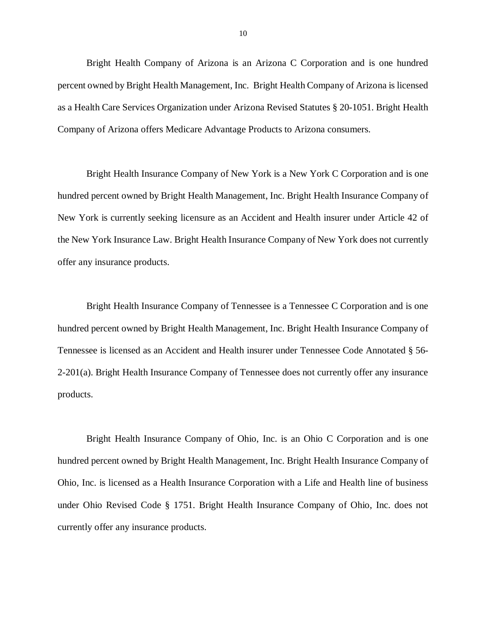Bright Health Company of Arizona is an Arizona C Corporation and is one hundred percent owned by Bright Health Management, Inc. Bright Health Company of Arizona is licensed as a Health Care Services Organization under Arizona Revised Statutes § 20-1051. Bright Health Company of Arizona offers Medicare Advantage Products to Arizona consumers.

 Bright Health Insurance Company of New York is a New York C Corporation and is one hundred percent owned by Bright Health Management, Inc. Bright Health Insurance Company of New York is currently seeking licensure as an Accident and Health insurer under Article 42 of the New York Insurance Law. Bright Health Insurance Company of New York does not currently offer any insurance products.

 Bright Health Insurance Company of Tennessee is a Tennessee C Corporation and is one hundred percent owned by Bright Health Management, Inc. Bright Health Insurance Company of Tennessee is licensed as an Accident and Health insurer under Tennessee Code Annotated § 56- 2-201(a). Bright Health Insurance Company of Tennessee does not currently offer any insurance products. products.<br>Bright Health Insurance Company of Ohio, Inc. is an Ohio C Corporation and is one

 hundred percent owned by Bright Health Management, Inc. Bright Health Insurance Company of Ohio, Inc. is licensed as a Health Insurance Corporation with a Life and Health line of business under Ohio Revised Code § 1751. Bright Health Insurance Company of Ohio, Inc. does not currently offer any insurance products.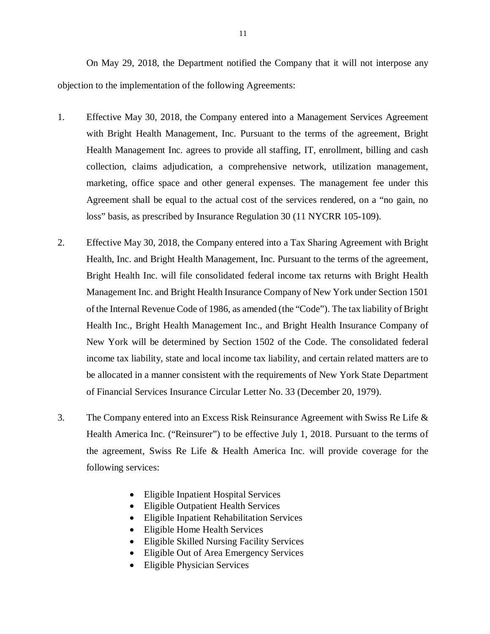objection to the implementation of the following Agreements: On May 29, 2018, the Department notified the Company that it will not interpose any

- 1. Effective May 30, 2018, the Company entered into a Management Services Agreement with Bright Health Management, Inc. Pursuant to the terms of the agreement, Bright Health Management Inc. agrees to provide all staffing, IT, enrollment, billing and cash collection, claims adjudication, a comprehensive network, utilization management, marketing, office space and other general expenses. The management fee under this Agreement shall be equal to the actual cost of the services rendered, on a "no gain, no loss" basis, as prescribed by Insurance Regulation 30 (11 NYCRR 105-109).
- 2. Effective May 30, 2018, the Company entered into a Tax Sharing Agreement with Bright Health, Inc. and Bright Health Management, Inc. Pursuant to the terms of the agreement, Bright Health Inc. will file consolidated federal income tax returns with Bright Health Management Inc. and Bright Health Insurance Company of New York under Section 1501 of the Internal Revenue Code of 1986, as amended (the "Code"). The tax liability of Bright Health Inc., Bright Health Management Inc., and Bright Health Insurance Company of New York will be determined by Section 1502 of the Code. The consolidated federal income tax liability, state and local income tax liability, and certain related matters are to be allocated in a manner consistent with the requirements of New York State Department of Financial Services Insurance Circular Letter No. 33 (December 20, 1979).
- 3. Health America Inc. ("Reinsurer") to be effective July 1, 2018. Pursuant to the terms of the agreement, Swiss Re Life & Health America Inc. will provide coverage for the The Company entered into an Excess Risk Reinsurance Agreement with Swiss Re Life  $\&$ following services:
	- Eligible Inpatient Hospital Services
	- Eligible Outpatient Health Services
	- Eligible Inpatient Rehabilitation Services
	- Eligible Home Health Services
	- Eligible Skilled Nursing Facility Services
	- Eligible Out of Area Emergency Services
	- Eligible Physician Services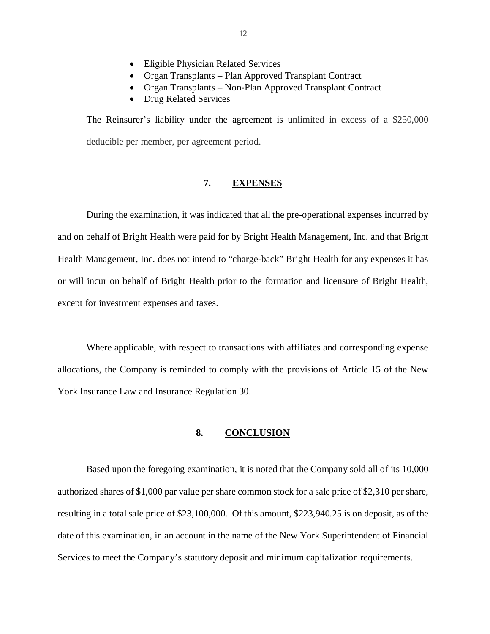- <span id="page-13-0"></span>Eligible Physician Related Services
- Organ Transplants Plan Approved Transplant Contract
- Organ Transplants Non-Plan Approved Transplant Contract
- Drug Related Services

 The Reinsurer's liability under the agreement is unlimited in excess of a \$250,000 deducible per member, per agreement period.

#### **7. EXPENSES**

 During the examination, it was indicated that all the pre-operational expenses incurred by and on behalf of Bright Health were paid for by Bright Health Management, Inc. and that Bright Health Management, Inc. does not intend to "charge-back" Bright Health for any expenses it has or will incur on behalf of Bright Health prior to the formation and licensure of Bright Health, except for investment expenses and taxes.

 Where applicable, with respect to transactions with affiliates and corresponding expense allocations, the Company is reminded to comply with the provisions of Article 15 of the New York Insurance Law and Insurance Regulation 30.

#### **8. CONCLUSION**

 Based upon the foregoing examination, it is noted that the Company sold all of its 10,000 authorized shares of \$1,000 par value per share common stock for a sale price of \$2,310 per share, resulting in a total sale price of \$23,100,000. Of this amount, [\\$223,940.25](https://223,940.25) is on deposit, as of the date of this examination, in an account in the name of the New York Superintendent of Financial Services to meet the Company's statutory deposit and minimum capitalization requirements.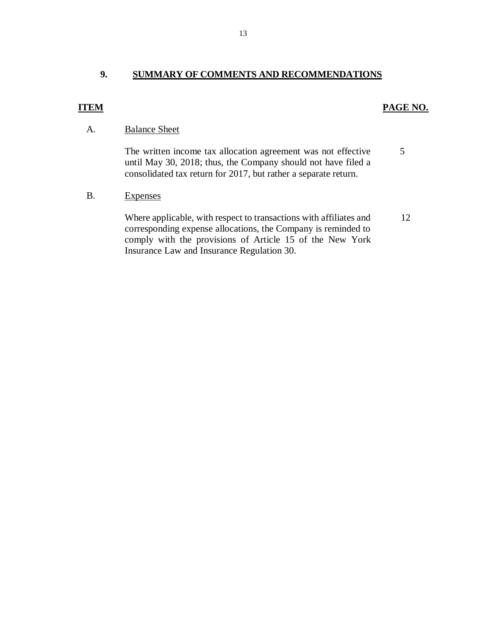### **9. SUMMARY OF COMMENTS AND RECOMMENDATIONS**

### *PAGE NO. PAGE NO.*

#### A. Balance Sheet

 The written income tax allocation agreement was not effective until May 30, 2018; thus, the Company should not have filed a consolidated tax return for 2017, but rather a separate return. 5

#### **Expenses**

 corresponding expense allocations, the Company is reminded to comply with the provisions of Article 15 of the New York Insurance Law and Insurance Regulation 30. B. Expenses<br>Where applicable, with respect to transactions with affiliates and 12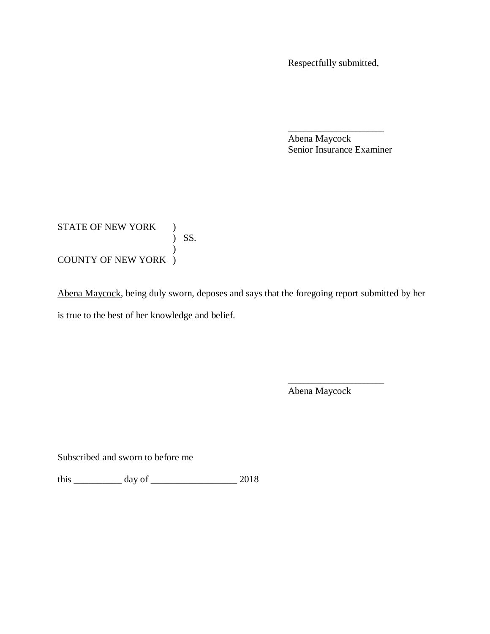Respectfully submitted,

 Abena Maycock Senior Insurance Examiner \_\_\_\_\_\_\_\_\_\_\_\_\_\_\_\_\_\_\_\_\_\_\_\_

STATE OF NEW YORK ) COUNTY OF NEW YORK ) ) SS. )

Abena Maycock, being duly sworn, deposes and says that the foregoing report submitted by her is true to the best of her knowledge and belief.

Abena Maycock

\_\_\_\_\_\_\_\_\_\_\_\_\_\_\_\_\_\_\_\_\_\_\_\_

Subscribed and sworn to before me

this \_\_\_\_\_\_\_\_\_\_ day of \_\_\_\_\_\_\_\_\_\_\_\_\_\_\_\_\_\_ 2018